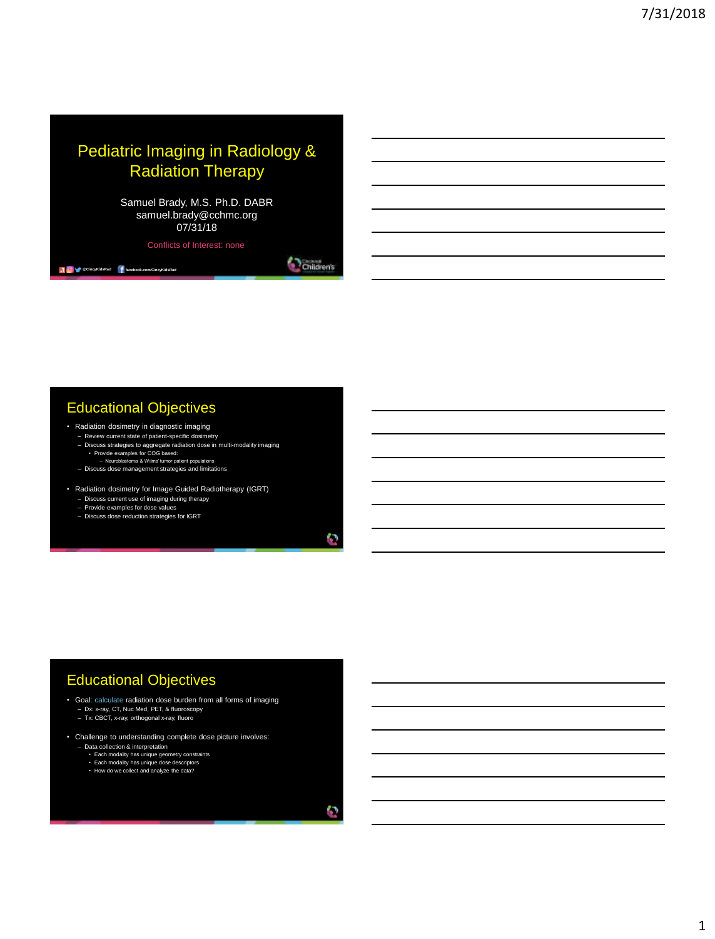### Pediatric Imaging in Radiology & Radiation Therapy

Samuel Brady, M.S. Ph.D. DABR samuel.brady@cchmc.org 07/31/18

Conflicts of Interest: none

Children's

r.

O

### Educational Objectives

**1 C W** @CincyKidsRad **f** facebook.com/CincyKidsRad

- Radiation dosimetry in diagnostic imaging
	- Review current state of patient-specific dosimetry<br>
	 Discuss strategies to aggregate radiation dose in multi-modality imaging<br>
	 Provide examples for COG based:<br>
	 Neuroblastoma & Wilms' tumor patient populations
	-
	- Discuss dose management strategies and limitations
- Radiation dosimetry for Image Guided Radiotherapy (IGRT) Discuss current use of imaging during therapy Provide examples for dose values
	-
	- Discuss dose reduction strategies for IGRT
		-

### Educational Objectives

- Goal: calculate radiation dose burden from all forms of imaging – Dx: x-ray, CT, Nuc Med, PET, & fluoroscopy – Tx: CBCT, x-ray, orthogonal x-ray, fluoro
- 
- Challenge to understanding complete dose picture involves:
	- Data collection & interpretation Each modality has unique geometry constraints
		-
		- Each modality has unique dose descriptors How do we collect and analyze the data?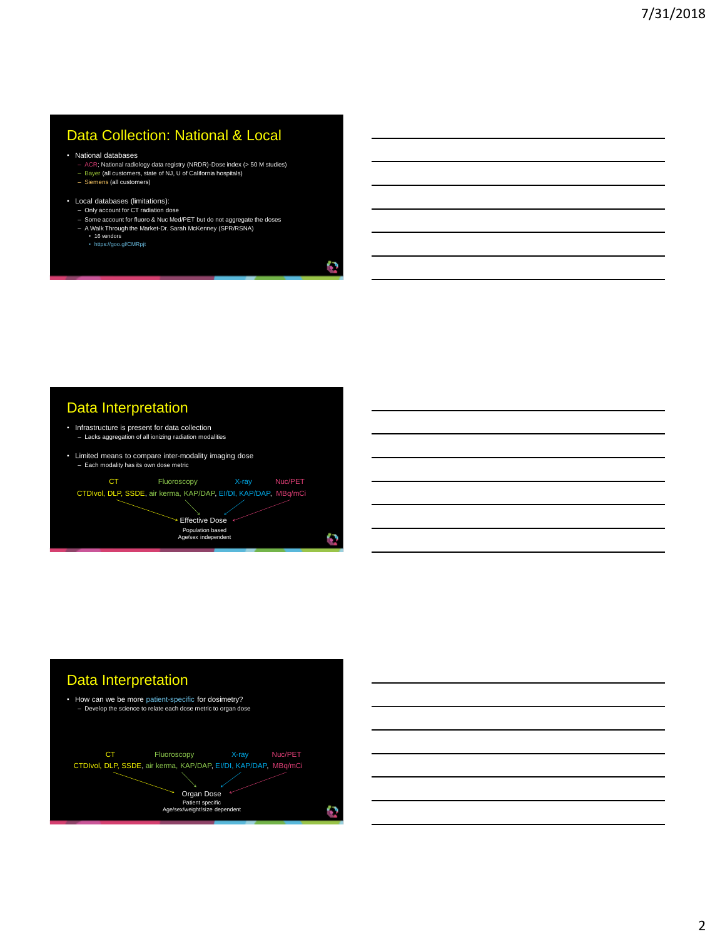### Data Collection: National & Local

• National databases

- ACR; National radiology data registry (NRDR)-Dose index (> 50 M studies) Bayer (all customers, state of NJ, U of California hospitals) Siemens (all customers)
- 
- 
- Local databases (limitations): Only account for CT radiation dose
	-
	- Some account for fluoro & Nuc Med/PET but do not aggregate the doses A Walk Through the Market-Dr. Sarah McKenney (SPR/RSNA)
		-
		- 16 vendors https://goo.gl/CMRpjt

### Data Interpretation

- Infrastructure is present for data collection – Lacks aggregation of all ionizing radiation modalities
- Limited means to compare inter-modality imaging dose – Each modality has its own dose metric





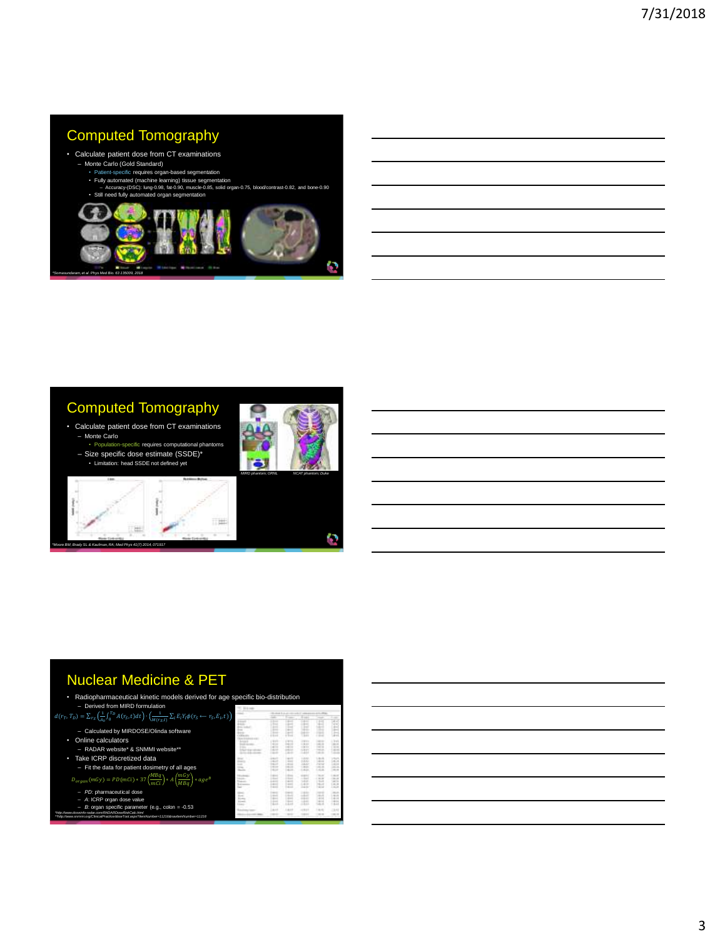### Computed Tomography

### • Calculate patient dose from CT examinations – Monte Carlo (Gold Standard)

- Patient-specific requires organ-based segment
- 
- Fully automated (machine learning) tissue segmentation Accuracy-(DSC): lung-0.98, fat-0.90, muscle-0.85, solid organ-0.75, blood/contrast-0.82, and bone-0.90 • Still need fully automated organ segmentation



### Computed Tomography

- Calculate patient dose from CT examinations – Monte Carlo
- **Eific** requires computational pha – Size specific dose estimate (SSDE)\* • Limitation: head SSDE not defined yet



o

ş, ٠ æ *\*Moore BM, Brady SL & Kaufman, RA; Med Phys 41(7) 2014, 071917*

# 一

### Nuclear Medicine & PET

| • Radiopharmaceutical kinetic models derived for age specific bio-distribution                                                                                           |  |
|--------------------------------------------------------------------------------------------------------------------------------------------------------------------------|--|
| - Derived from MIRD formulation                                                                                                                                          |  |
| $d(r_T, T_D) = \sum_{r_S} \left( \frac{1}{4} \int_0^{T_D} A(r_S, t) dt \right) \cdot \left( \frac{1}{M(r_S, t)} \sum_i E_i Y_i \phi(r_S \leftarrow r_S, E_i, t) \right)$ |  |

 $A_0^{J_0}$   $(0.5)^{c/\alpha}$   $(M(r_S,t))$  $r_S\left(\frac{1}{4\pi}\right)_0$ 

- Calculated by MIRDOSE/Olinda software • Online calculators
- RADAR website\* & SNMMI website\*\*
- Take ICRP discretized data – Fit the data for patient dosimetry of all ages
- $D_{organ}(mGy) = PD(mCi) * 37 \left(\frac{MBq}{mCi}\right) * A\left(\frac{mGy}{MBq}\right) * age^B$
- 
- 
- $-$  PD: pharmaceutical dose<br>  $-$  A: ICRP organ dose value<br>
The measurement of e.g., colon = -0.53<br>
The measurement of Characterization of the measurement of the measurement of the measurement of the measurement of the mea

|          | $1 - 1$<br><b>And Ada</b> |    |          |   |                     |  |  |  |  |
|----------|---------------------------|----|----------|---|---------------------|--|--|--|--|
|          |                           |    |          |   |                     |  |  |  |  |
|          |                           |    |          |   | ÷<br>×              |  |  |  |  |
|          |                           |    |          |   | ٠<br>۰              |  |  |  |  |
|          |                           | ٠  |          |   |                     |  |  |  |  |
|          |                           |    |          |   |                     |  |  |  |  |
|          |                           |    |          |   |                     |  |  |  |  |
|          |                           |    | 1.11     |   |                     |  |  |  |  |
|          |                           |    |          |   |                     |  |  |  |  |
|          | <b>TT</b>                 |    | 1911     |   | m                   |  |  |  |  |
|          |                           |    | $-10.07$ | ۰ | ۰                   |  |  |  |  |
| ٠        |                           |    | or ex-   |   | ٠                   |  |  |  |  |
|          |                           |    | m        |   |                     |  |  |  |  |
|          |                           |    |          |   |                     |  |  |  |  |
| ≂<br>. . | ī                         | ٠  | s        |   |                     |  |  |  |  |
|          |                           |    | 188      |   |                     |  |  |  |  |
|          | 1.5 95 17                 |    |          | ٠ |                     |  |  |  |  |
|          | $-1.0$                    |    | $^{16}$  |   |                     |  |  |  |  |
|          |                           |    |          |   |                     |  |  |  |  |
|          |                           |    |          |   |                     |  |  |  |  |
|          |                           |    |          | ۰ | ٠                   |  |  |  |  |
|          |                           |    |          |   |                     |  |  |  |  |
| ٠        |                           |    |          | ٠ | ٠                   |  |  |  |  |
|          |                           |    |          |   | ٠<br>٠              |  |  |  |  |
|          |                           |    |          |   | $\overline{a}$<br>Ξ |  |  |  |  |
|          | ÷                         |    |          |   | ۰                   |  |  |  |  |
|          |                           |    |          |   |                     |  |  |  |  |
|          |                           |    |          |   |                     |  |  |  |  |
|          |                           |    |          |   |                     |  |  |  |  |
|          |                           | -- | ss.      |   | Ë                   |  |  |  |  |
|          |                           |    | ш        |   |                     |  |  |  |  |
|          |                           |    |          |   |                     |  |  |  |  |
|          | --<br>٠                   |    | TTT.     |   |                     |  |  |  |  |
|          |                           |    |          |   |                     |  |  |  |  |
|          |                           |    |          |   |                     |  |  |  |  |

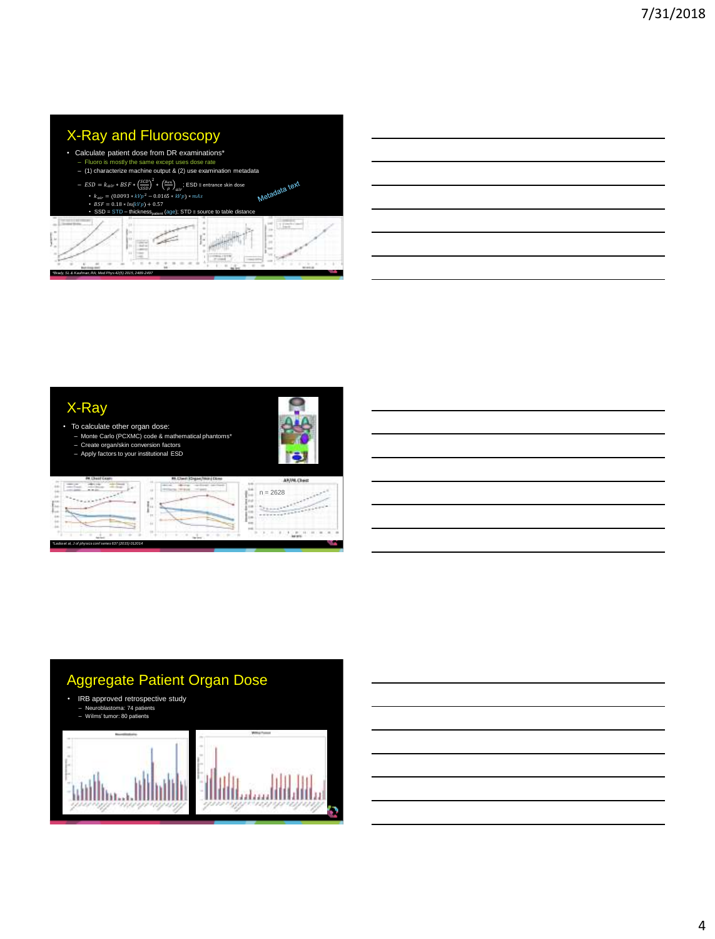### X-Ray and Fluoroscopy

- Calculate patient dose from DR examinations\*
	- Fluoro is mostly the same except uses dose rate (1) characterize machine output & (2) use examination metadata
	- $-$  *ESD* =  $k_{air}$  ∗ *BSF* ∗  $\left(\frac{SCD}{SSD}\right)^2$  ∗  $\left(\frac{\mu_{en}}{\rho}\right)_{air}$ ; ESD ≡ entrance skin dose
	- - $k_{air} = (0.0093 * kVp^2 0.0165 * kVp) * mAs$ <br>•  $BSF = 0.18 * ln(kVp) + 0.57$



### X-Ray

- To calculate other organ dose: Monte Carlo (PCXMC) code & mathematical phantoms\* Create organ/skin conversion factors
	- Apply factors to your institutional ESD



*\*Ladia et al, J of physics conf series 637 (2015) 012014*

|  | M.Dwelloy |
|--|-----------|
|  |           |
|  |           |
|  |           |
|  |           |

| <b>LP/PA Chest</b> |  |
|--------------------|--|
| $n = 2628$         |  |
|                    |  |
|                    |  |

питать

### Aggregate Patient Organ Dose

• IRB approved retrospective study – Neuroblastoma: 74 patients – Wilms' tumor: 80 patients

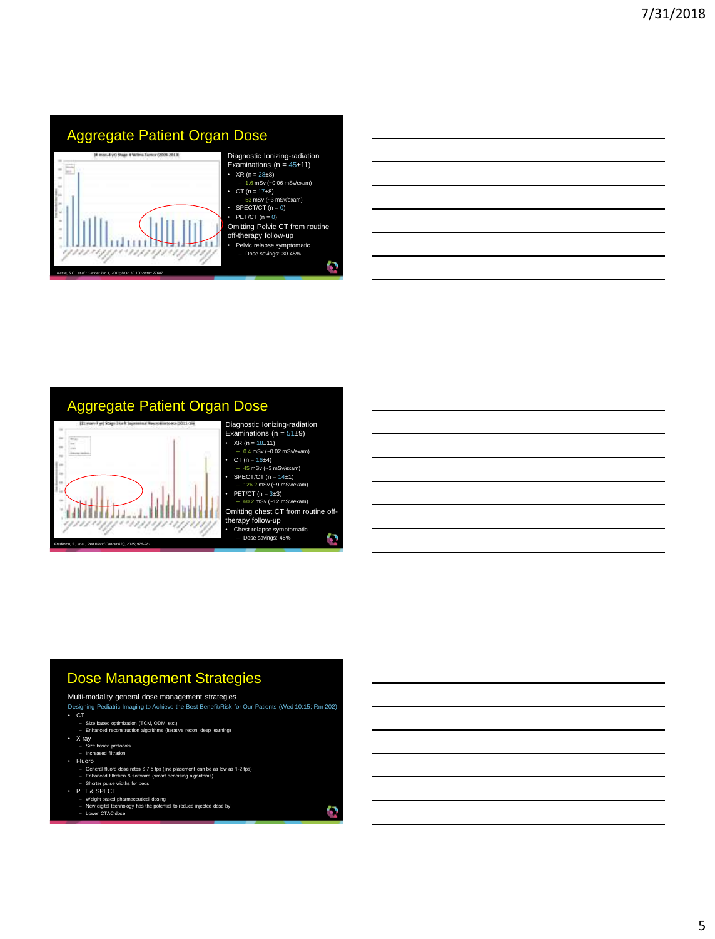## Aggregate Patient Organ Dose E

ungrupn

п

*Kaste, S.C., et al.; Cancer Jan 1, 2013; DOI: 10.1002/cncr.27687* 

\*\*\*\*/

### Diagnostic Ionizing-radiation<br>Examinations (n = 45±11) • XR (n =  $28\pm8$ )<br>- 1.6 mSv (~0.06 mSv/exam) • CT ( $n = 17\pm8$ )<br>- 53 mSv (~3 mSv/exam)

- SPECT/CT  $(n = 0)$
- $\cdot$  PET/CT (n = 0) Omitting Pelvic CT from routine
- off-therapy follow-up
- Pelvic relapse symptomatic Dose savings: 30-45%

o

o

### Aggregate Patient Organ Dose



### Dose Management Strategies

Multi-modality general dose management strategies

- Designing Pediatric Imaging to Achieve the Best Benefit/Risk for Our Patients (Wed 10:15; Rm 202) CT
- Size based optimization (TCM, ODM, etc.) Enhanced reconstruction algorithms (iterative recon, deep learning)
- 
- X-ray Size based protocols Increased filtration
- Fluoro
- 
- General fluoro dose rates ≤ 7.5 fps (line placement can be as low as 1-2 fps)<br>– Enhanced filtration & software (smart denoising algorithms)<br>– Shorter pulse widths for peds
- PET & SPECT
- 
- Weight based pharmaceutical dosing New digital technology has the potential to reduce injected dose by Lower CTAC dose
-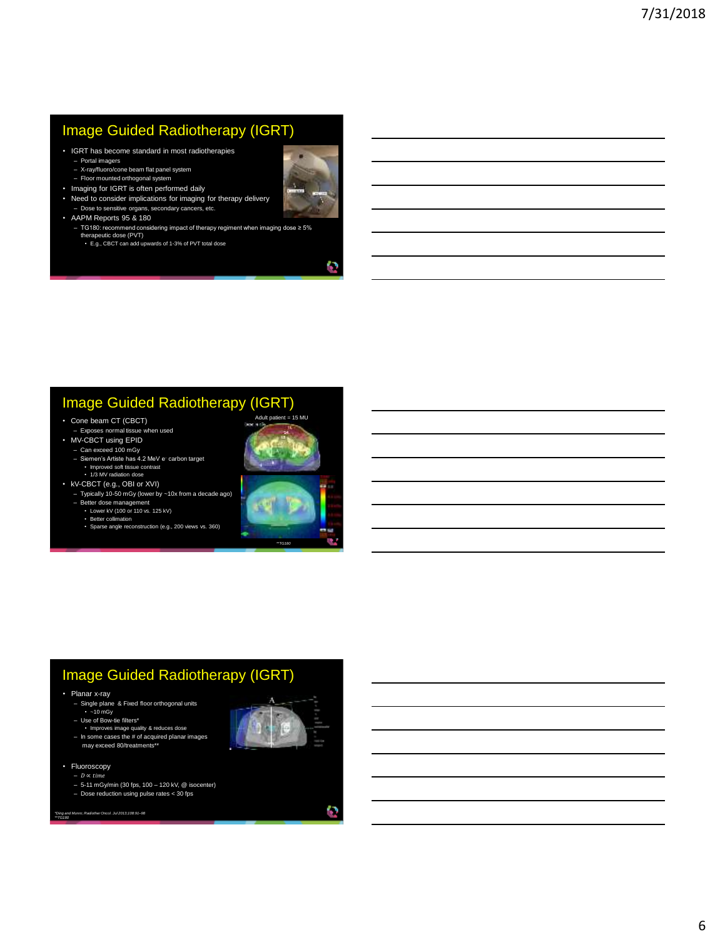### Image Guided Radiotherapy (IGRT)

- IGRT has become standard in most radiotherapies
	-
	- Portal imagers X-ray/fluoro/cone beam flat panel system – Floor mounted orthogonal system
- Imaging for IGRT is often performed daily
- Need to consider implications for imaging for therapy delivery – Dose to sensitive organs, secondary cancers, etc.
- AAPM Reports 95 & 180
	- TG180: recommend considering impact of therapy regiment when imaging dose ≥ 5% therapeutic dose (PVT)
		- E.g., CBCT can add upwards of 1-3% of PVT total dose



### Image Guided Radiotherapy (IGRT)

- Cone beam CT (CBCT)
- Exposes normal tissue when used
- MV-CBCT using EPID – Can exceed 100 mGy
	- Siemen's Artiste has 4.2 MeV e- carbon target Improved soft tissue contrast
- 1/3 MV radiation dose • kV-CBCT (e.g., OBI or XVI)
	- Typically 10-50 mGy (lower by ~10x from a decade ago)
	- Better dose management Lower kV (100 or 110 vs. 125 kV)
		- Better collimation
		- Sparse angle reconstruction (e.g., 200 views vs. 360)



### Image Guided Radiotherapy (IGRT)

- Planar x-ray
	- Single plane & Fixed floor orthogonal units ~10 mGy
	- Use of Bow-tie filters\*
	- Improves image quality & reduces dose In some cases the # of acquired planar images
	- may exceed 80/treatments\*\*
- Fluoroscopy
	- $D \propto time$ – 5-11 mGy/min (30 fps, 100 – 120 kV, @ isocenter)
	- Dose reduction using pulse rates < 30 fps
- *\*Ding and Munro; RadiotherOncol. Jul 2013;108:91–98 \*\*TG180*

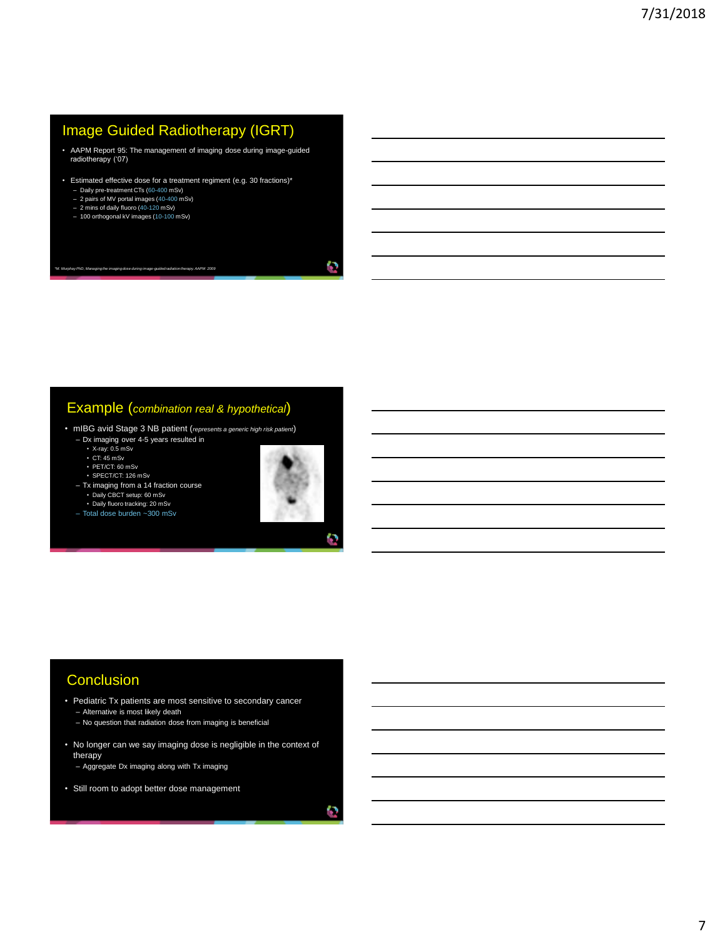### Image Guided Radiotherapy (IGRT)

- AAPM Report 95: The management of imaging dose during image-guided radiotherapy ('07)
- Estimated effective dose for a treatment regiment (e.g. 30 fractions)\* – Daily pre-treatment CTs (60-400 mSv)
	- 2 pairs of MV portal images (40-400 mSv) 2 mins of daily fluoro (40-120 mSv)
	-
	- 100 orthogonal kV images (10-100 mSv)

*\*M. Murphay PhD, Managing the imaging dose during image-guided radiation therapy. AAPM 2009*

### Example (*combination real & hypothetical*)

- mIBG avid Stage 3 NB patient (*represents a generic high risk patient*)
	- Dx imaging over 4-5 years resulted in X-ray: 0.5 mSv

– Total dose burden ~300 mSv

- 
- $\cdot$  CT: 45 mSv • PET/CT: 60 mSv
- SPECT/CT: 126 mSv
- Tx imaging from a 14 fraction course • Daily CBCT setup: 60 mSv • Daily fluoro tracking: 20 mSv



O

### **Conclusion**

- Pediatric Tx patients are most sensitive to secondary cancer – Alternative is most likely death
	- No question that radiation dose from imaging is beneficial
- No longer can we say imaging dose is negligible in the context of therapy
	- Aggregate Dx imaging along with Tx imaging
- Still room to adopt better dose management